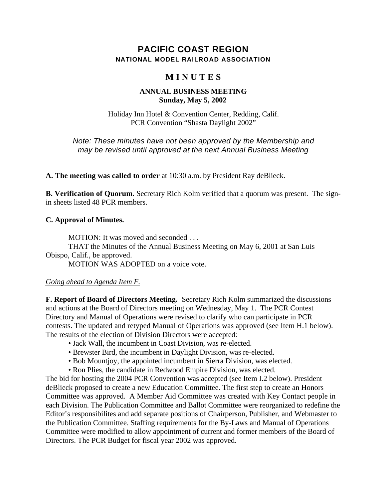## **PACIFIC COAST REGION NATIONAL MODEL RAILROAD ASSOCIATION**

# **M I N U T E S**

#### **ANNUAL BUSINESS MEETING Sunday, May 5, 2002**

Holiday Inn Hotel & Convention Center, Redding, Calif. PCR Convention "Shasta Daylight 2002"

*Note: These minutes have not been approved by the Membership and may be revised until approved at the next Annual Business Meeting*

**A. The meeting was called to order** at 10:30 a.m. by President Ray deBlieck.

**B. Verification of Quorum.** Secretary Rich Kolm verified that a quorum was present. The signin sheets listed 48 PCR members.

#### **C. Approval of Minutes.**

MOTION: It was moved and seconded . . .

THAT the Minutes of the Annual Business Meeting on May 6, 2001 at San Luis Obispo, Calif., be approved.

MOTION WAS ADOPTED on a voice vote.

#### *Going ahead to Agenda Item F.*

**F. Report of Board of Directors Meeting.** Secretary Rich Kolm summarized the discussions and actions at the Board of Directors meeting on Wednesday, May 1. The PCR Contest Directory and Manual of Operations were revised to clarify who can participate in PCR contests. The updated and retyped Manual of Operations was approved (see Item H.1 below). The results of the election of Division Directors were accepted:

- Jack Wall, the incumbent in Coast Division, was re-elected.
- Brewster Bird, the incumbent in Daylight Division, was re-elected.
- Bob Mountjoy, the appointed incumbent in Sierra Division, was elected.
- Ron Plies, the candidate in Redwood Empire Division, was elected.

The bid for hosting the 2004 PCR Convention was accepted (see Item I.2 below). President deBlieck proposed to create a new Education Committee. The first step to create an Honors Committee was approved. A Member Aid Committee was created with Key Contact people in each Division. The Publication Committee and Ballot Committee were reorganized to redefine the Editor's responsibilites and add separate positions of Chairperson, Publisher, and Webmaster to the Publication Committee. Staffing requirements for the By-Laws and Manual of Operations Committee were modified to allow appointment of current and former members of the Board of Directors. The PCR Budget for fiscal year 2002 was approved.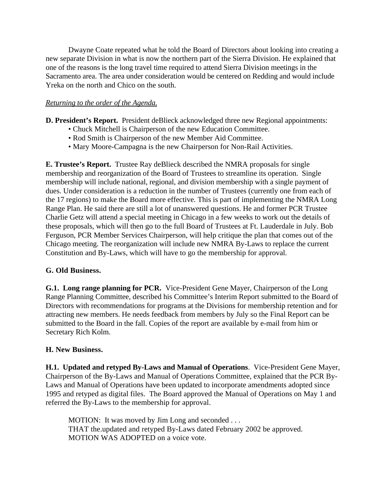Dwayne Coate repeated what he told the Board of Directors about looking into creating a new separate Division in what is now the northern part of the Sierra Division. He explained that one of the reasons is the long travel time required to attend Sierra Division meetings in the Sacramento area. The area under consideration would be centered on Redding and would include Yreka on the north and Chico on the south.

#### *Returning to the order of the Agenda.*

**D. President's Report.** President deBlieck acknowledged three new Regional appointments:

- Chuck Mitchell is Chairperson of the new Education Committee.
- Rod Smith is Chairperson of the new Member Aid Committee.
- Mary Moore-Campagna is the new Chairperson for Non-Rail Activities.

**E. Trustee's Report.** Trustee Ray deBlieck described the NMRA proposals for single membership and reorganization of the Board of Trustees to streamline its operation. Single membership will include national, regional, and division membership with a single payment of dues. Under consideration is a reduction in the number of Trustees (currently one from each of the 17 regions) to make the Board more effective. This is part of implementing the NMRA Long Range Plan. He said there are still a lot of unanswered questions. He and former PCR Trustee Charlie Getz will attend a special meeting in Chicago in a few weeks to work out the details of these proposals, which will then go to the full Board of Trustees at Ft. Lauderdale in July. Bob Ferguson, PCR Member Services Chairperson, will help critique the plan that comes out of the Chicago meeting. The reorganization will include new NMRA By-Laws to replace the current Constitution and By-Laws, which will have to go the membership for approval.

## **G. Old Business.**

**G.1. Long range planning for PCR.** Vice-President Gene Mayer, Chairperson of the Long Range Planning Committee, described his Committee's Interim Report submitted to the Board of Directors with recommendations for programs at the Divisions for membership retention and for attracting new members. He needs feedback from members by July so the Final Report can be submitted to the Board in the fall. Copies of the report are available by e-mail from him or Secretary Rich Kolm.

## **H. New Business.**

**H.1. Updated and retyped By-Laws and Manual of Operations**. Vice-President Gene Mayer, Chairperson of the By-Laws and Manual of Operations Committee, explained that the PCR By-Laws and Manual of Operations have been updated to incorporate amendments adopted since 1995 and retyped as digital files. The Board approved the Manual of Operations on May 1 and referred the By-Laws to the membership for approval.

MOTION: It was moved by Jim Long and seconded ... THAT the.updated and retyped By-Laws dated February 2002 be approved. MOTION WAS ADOPTED on a voice vote.